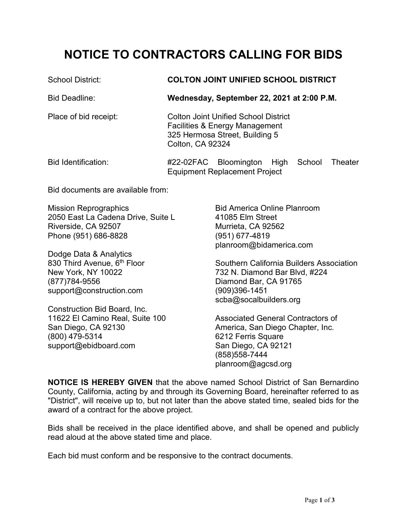## **NOTICE TO CONTRACTORS CALLING FOR BIDS**

## School District: **COLTON JOINT UNIFIED SCHOOL DISTRICT**

Bid Deadline: **Wednesday, September 22, 2021 at 2:00 P.M.**

Place of bid receipt: Colton Joint Unified School District Facilities & Energy Management 325 Hermosa Street, Building 5 Colton, CA 92324

| <b>Bid Identification:</b> |                                      | #22-02FAC Bloomington High School Theater |  |  |  |
|----------------------------|--------------------------------------|-------------------------------------------|--|--|--|
|                            | <b>Equipment Replacement Project</b> |                                           |  |  |  |

Bid documents are available from:

Mission Reprographics **Bid America Online Planroom** 2050 East La Cadena Drive, Suite L 41085 Elm Street Riverside, CA 92507 Murrieta, CA 92562 Phone (951) 686-8828 (951) 677-4819

Dodge Data & Analytics<br>830 Third Avenue. 6<sup>th</sup> Floor (877)784-9556 Diamond Bar, CA 91765 support@construction.com (909)396-1451

Construction Bid Board, Inc. support@ebidboard.com San Diego, CA 92121

planroom@bidamerica.com

Southern California Builders Association New York, NY 10022 732 N. Diamond Bar Blvd, #224 scba@socalbuilders.org

11622 El Camino Real, Suite 100 Associated General Contractors of San Diego, CA 92130 America, San Diego Chapter, Inc. 6212 Ferris Square (858)558-7444 planroom@agcsd.org

**NOTICE IS HEREBY GIVEN** that the above named School District of San Bernardino County, California, acting by and through its Governing Board, hereinafter referred to as "District", will receive up to, but not later than the above stated time, sealed bids for the award of a contract for the above project.

Bids shall be received in the place identified above, and shall be opened and publicly read aloud at the above stated time and place.

Each bid must conform and be responsive to the contract documents.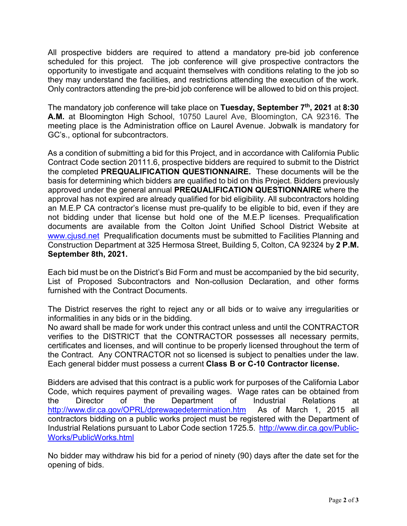All prospective bidders are required to attend a mandatory pre-bid job conference scheduled for this project. The job conference will give prospective contractors the opportunity to investigate and acquaint themselves with conditions relating to the job so they may understand the facilities, and restrictions attending the execution of the work. Only contractors attending the pre-bid job conference will be allowed to bid on this project.

The mandatory job conference will take place on **Tuesday, September 7th, 2021** at **8:30 A.M.** at Bloomington High School, 10750 Laurel Ave, Bloomington, CA 92316. The meeting place is the Administration office on Laurel Avenue. Jobwalk is mandatory for GC's., optional for subcontractors.

As a condition of submitting a bid for this Project, and in accordance with California Public Contract Code section 20111.6, prospective bidders are required to submit to the District the completed **PREQUALIFICATION QUESTIONNAIRE.** These documents will be the basis for determining which bidders are qualified to bid on this Project. Bidders previously approved under the general annual **PREQUALIFICATION QUESTIONNAIRE** where the approval has not expired are already qualified for bid eligibility. All subcontractors holding an M.E.P CA contractor's license must pre-qualify to be eligible to bid, even if they are not bidding under that license but hold one of the M.E.P licenses. Prequalification documents are available from the Colton Joint Unified School District Website at [www.cjusd.net](http://www.cjusd.net/) Prequalification documents must be submitted to Facilities Planning and Construction Department at 325 Hermosa Street, Building 5, Colton, CA 92324 by **2 P.M. September 8th, 2021.** 

Each bid must be on the District's Bid Form and must be accompanied by the bid security, List of Proposed Subcontractors and Non-collusion Declaration, and other forms furnished with the Contract Documents.

The District reserves the right to reject any or all bids or to waive any irregularities or informalities in any bids or in the bidding.

No award shall be made for work under this contract unless and until the CONTRACTOR verifies to the DISTRICT that the CONTRACTOR possesses all necessary permits, certificates and licenses, and will continue to be properly licensed throughout the term of the Contract. Any CONTRACTOR not so licensed is subject to penalties under the law. Each general bidder must possess a current **Class B or C-10 Contractor license.**

Bidders are advised that this contract is a public work for purposes of the California Labor Code, which requires payment of prevailing wages. Wage rates can be obtained from the Director of the Department of Industrial Relations at <http://www.dir.ca.gov/OPRL/dprewagedetermination.htm>As of March 1, 2015 all contractors bidding on a public works project must be registered with the Department of Industrial Relations pursuant to Labor Code section 1725.5. [http://www.dir.ca.gov/Public-](http://www.dir.ca.gov/Public-Works/PublicWorks.html)[Works/PublicWorks.html](http://www.dir.ca.gov/Public-Works/PublicWorks.html)

No bidder may withdraw his bid for a period of ninety (90) days after the date set for the opening of bids.